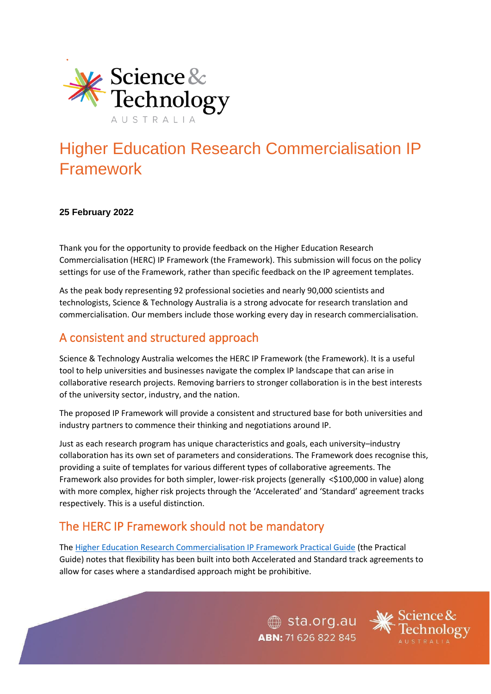

# Higher Education Research Commercialisation IP Framework

#### **25 February 2022**

Thank you for the opportunity to provide feedback on the Higher Education Research Commercialisation (HERC) IP Framework (the Framework). This submission will focus on the policy settings for use of the Framework, rather than specific feedback on the IP agreement templates.

As the peak body representing 92 professional societies and nearly 90,000 scientists and technologists, Science & Technology Australia is a strong advocate for research translation and commercialisation. Our members include those working every day in research commercialisation.

# A consistent and structured approach

Science & Technology Australia welcomes the HERC IP Framework (the Framework). It is a useful tool to help universities and businesses navigate the complex IP landscape that can arise in collaborative research projects. Removing barriers to stronger collaboration is in the best interests of the university sector, industry, and the nation.

The proposed IP Framework will provide a consistent and structured base for both universities and industry partners to commence their thinking and negotiations around IP.

Just as each research program has unique characteristics and goals, each university–industry collaboration has its own set of parameters and considerations. The Framework does recognise this, providing a suite of templates for various different types of collaborative agreements. The Framework also provides for both simpler, lower-risk projects (generally <\$100,000 in value) along with more complex, higher risk projects through the 'Accelerated' and 'Standard' agreement tracks respectively. This is a useful distinction.

# The HERC IP Framework should not be mandatory

The [Higher Education Research Commercialisation IP Framework Practical Guide](https://www.dese.gov.au/hercip/resources/dese-herc-ip-framework-practical-guidance) (the Practical Guide) notes that flexibility has been built into both Accelerated and Standard track agreements to allow for cases where a standardised approach might be prohibitive.

> $\textcircled{\tiny\textcircled{\tiny\textcircled{\tiny\textcirc}}}$  sta.org.au ABN: 71 626 822 845

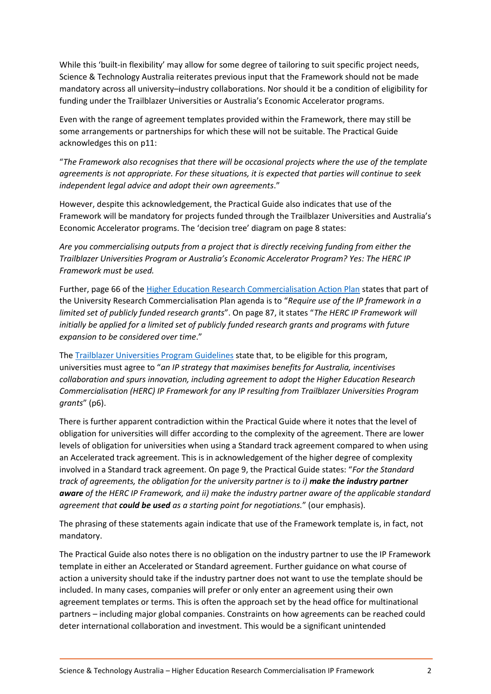While this 'built-in flexibility' may allow for some degree of tailoring to suit specific project needs, Science & Technology Australia reiterates previous input that the Framework should not be made mandatory across all university–industry collaborations. Nor should it be a condition of eligibility for funding under the Trailblazer Universities or Australia's Economic Accelerator programs.

Even with the range of agreement templates provided within the Framework, there may still be some arrangements or partnerships for which these will not be suitable. The Practical Guide acknowledges this on p11:

"*The Framework also recognises that there will be occasional projects where the use of the template agreements is not appropriate. For these situations, it is expected that parties will continue to seek independent legal advice and adopt their own agreements*."

However, despite this acknowledgement, the Practical Guide also indicates that use of the Framework will be mandatory for projects funded through the Trailblazer Universities and Australia's Economic Accelerator programs. The 'decision tree' diagram on page 8 states:

*Are you commercialising outputs from a project that is directly receiving funding from either the Trailblazer Universities Program or Australia's Economic Accelerator Program? Yes: The HERC IP Framework must be used.*

Further, page 66 of th[e Higher Education Research Commercialisation Action Plan](https://www.dese.gov.au/university-research-commercialisation-package/resources/university-research-commercialisation-action-plan) states that part of the University Research Commercialisation Plan agenda is to "*Require use of the IP framework in a limited set of publicly funded research grants*". On page 87, it states "*The HERC IP Framework will initially be applied for a limited set of publicly funded research grants and programs with future expansion to be considered over time*."

The [Trailblazer Universities Program Guidelines](https://www.dese.gov.au/trailblazer-universities-program/resources/trailblazer-universities-program-guidelines) state that, to be eligible for this program, universities must agree to "*an IP strategy that maximises benefits for Australia, incentivises collaboration and spurs innovation, including agreement to adopt the Higher Education Research Commercialisation (HERC) IP Framework for any IP resulting from Trailblazer Universities Program grants*" (p6).

There is further apparent contradiction within the Practical Guide where it notes that the level of obligation for universities will differ according to the complexity of the agreement. There are lower levels of obligation for universities when using a Standard track agreement compared to when using an Accelerated track agreement. This is in acknowledgement of the higher degree of complexity involved in a Standard track agreement. On page 9, the Practical Guide states: "*For the Standard track of agreements, the obligation for the university partner is to i) make the industry partner aware of the HERC IP Framework, and ii) make the industry partner aware of the applicable standard agreement that could be used as a starting point for negotiations.*" (our emphasis).

The phrasing of these statements again indicate that use of the Framework template is, in fact, not mandatory.

The Practical Guide also notes there is no obligation on the industry partner to use the IP Framework template in either an Accelerated or Standard agreement. Further guidance on what course of action a university should take if the industry partner does not want to use the template should be included. In many cases, companies will prefer or only enter an agreement using their own agreement templates or terms. This is often the approach set by the head office for multinational partners – including major global companies. Constraints on how agreements can be reached could deter international collaboration and investment. This would be a significant unintended